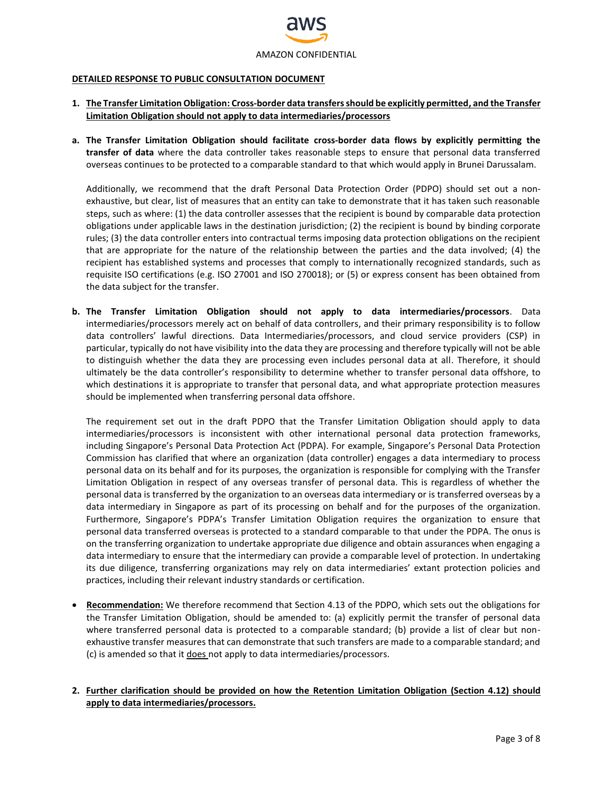

#### **DETAILED RESPONSE TO PUBLIC CONSULTATION DOCUMENT**

- **1. The Transfer Limitation Obligation: Cross-border data transfers should be explicitly permitted, and the Transfer Limitation Obligation should not apply to data intermediaries/processors**
- **a. The Transfer Limitation Obligation should facilitate cross-border data flows by explicitly permitting the transfer of data** where the data controller takes reasonable steps to ensure that personal data transferred overseas continues to be protected to a comparable standard to that which would apply in Brunei Darussalam.

Additionally, we recommend that the draft Personal Data Protection Order (PDPO) should set out a nonexhaustive, but clear, list of measures that an entity can take to demonstrate that it has taken such reasonable steps, such as where: (1) the data controller assesses that the recipient is bound by comparable data protection obligations under applicable laws in the destination jurisdiction; (2) the recipient is bound by binding corporate rules; (3) the data controller enters into contractual terms imposing data protection obligations on the recipient that are appropriate for the nature of the relationship between the parties and the data involved; (4) the recipient has established systems and processes that comply to internationally recognized standards, such as requisite ISO certifications (e.g. ISO 27001 and ISO 270018); or (5) or express consent has been obtained from the data subject for the transfer.

**b. The Transfer Limitation Obligation should not apply to data intermediaries/processors**. Data intermediaries/processors merely act on behalf of data controllers, and their primary responsibility is to follow data controllers' lawful directions. Data Intermediaries/processors, and cloud service providers (CSP) in particular, typically do not have visibility into the data they are processing and therefore typically will not be able to distinguish whether the data they are processing even includes personal data at all. Therefore, it should ultimately be the data controller's responsibility to determine whether to transfer personal data offshore, to which destinations it is appropriate to transfer that personal data, and what appropriate protection measures should be implemented when transferring personal data offshore.

The requirement set out in the draft PDPO that the Transfer Limitation Obligation should apply to data intermediaries/processors is inconsistent with other international personal data protection frameworks, including Singapore's Personal Data Protection Act (PDPA). For example, Singapore's Personal Data Protection Commission has clarified that where an organization (data controller) engages a data intermediary to process personal data on its behalf and for its purposes, the organization is responsible for complying with the Transfer Limitation Obligation in respect of any overseas transfer of personal data. This is regardless of whether the personal data is transferred by the organization to an overseas data intermediary or is transferred overseas by a data intermediary in Singapore as part of its processing on behalf and for the purposes of the organization. Furthermore, Singapore's PDPA's Transfer Limitation Obligation requires the organization to ensure that personal data transferred overseas is protected to a standard comparable to that under the PDPA. The onus is on the transferring organization to undertake appropriate due diligence and obtain assurances when engaging a data intermediary to ensure that the intermediary can provide a comparable level of protection. In undertaking its due diligence, transferring organizations may rely on data intermediaries' extant protection policies and practices, including their relevant industry standards or certification.

 **Recommendation:** We therefore recommend that Section 4.13 of the PDPO, which sets out the obligations for the Transfer Limitation Obligation, should be amended to: (a) explicitly permit the transfer of personal data where transferred personal data is protected to a comparable standard; (b) provide a list of clear but nonexhaustive transfer measures that can demonstrate that such transfers are made to a comparable standard; and (c) is amended so that it does not apply to data intermediaries/processors.

### **2. Further clarification should be provided on how the Retention Limitation Obligation (Section 4.12) should apply to data intermediaries/processors.**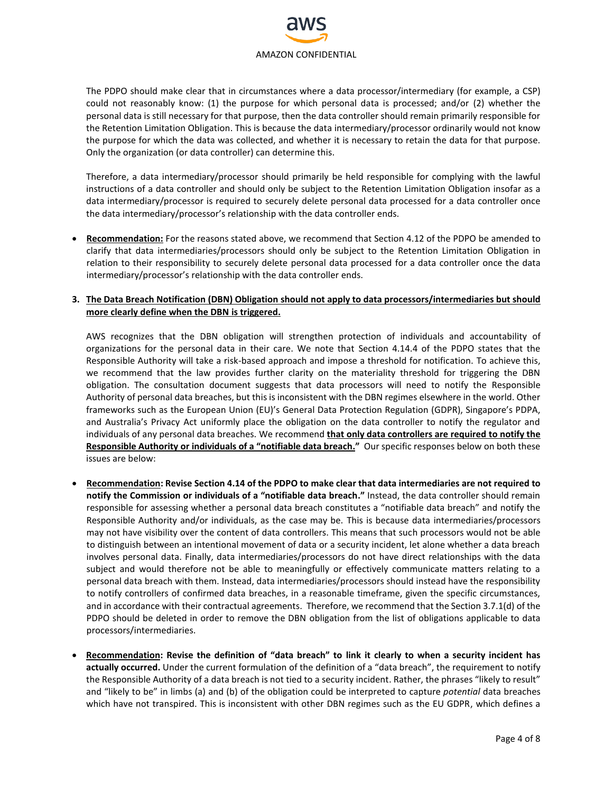

The PDPO should make clear that in circumstances where a data processor/intermediary (for example, a CSP) could not reasonably know: (1) the purpose for which personal data is processed; and/or (2) whether the personal data is still necessary for that purpose, then the data controller should remain primarily responsible for the Retention Limitation Obligation. This is because the data intermediary/processor ordinarily would not know the purpose for which the data was collected, and whether it is necessary to retain the data for that purpose. Only the organization (or data controller) can determine this.

Therefore, a data intermediary/processor should primarily be held responsible for complying with the lawful instructions of a data controller and should only be subject to the Retention Limitation Obligation insofar as a data intermediary/processor is required to securely delete personal data processed for a data controller once the data intermediary/processor's relationship with the data controller ends.

 **Recommendation:** For the reasons stated above, we recommend that Section 4.12 of the PDPO be amended to clarify that data intermediaries/processors should only be subject to the Retention Limitation Obligation in relation to their responsibility to securely delete personal data processed for a data controller once the data intermediary/processor's relationship with the data controller ends.

### **3. The Data Breach Notification (DBN) Obligation should not apply to data processors/intermediaries but should more clearly define when the DBN is triggered.**

AWS recognizes that the DBN obligation will strengthen protection of individuals and accountability of organizations for the personal data in their care. We note that Section 4.14.4 of the PDPO states that the Responsible Authority will take a risk-based approach and impose a threshold for notification. To achieve this, we recommend that the law provides further clarity on the materiality threshold for triggering the DBN obligation. The consultation document suggests that data processors will need to notify the Responsible Authority of personal data breaches, but this is inconsistent with the DBN regimes elsewhere in the world. Other frameworks such as the European Union (EU)'s General Data Protection Regulation (GDPR), Singapore's PDPA, and Australia's Privacy Act uniformly place the obligation on the data controller to notify the regulator and individuals of any personal data breaches. We recommend **that only data controllers are required to notify the Responsible Authority or individuals of a "notifiable data breach."** Our specific responses below on both these issues are below:

- **Recommendation: Revise Section 4.14 of the PDPO to make clear that data intermediaries are not required to notify the Commission or individuals of a "notifiable data breach."** Instead, the data controller should remain responsible for assessing whether a personal data breach constitutes a "notifiable data breach" and notify the Responsible Authority and/or individuals, as the case may be. This is because data intermediaries/processors may not have visibility over the content of data controllers. This means that such processors would not be able to distinguish between an intentional movement of data or a security incident, let alone whether a data breach involves personal data. Finally, data intermediaries/processors do not have direct relationships with the data subject and would therefore not be able to meaningfully or effectively communicate matters relating to a personal data breach with them. Instead, data intermediaries/processors should instead have the responsibility to notify controllers of confirmed data breaches, in a reasonable timeframe, given the specific circumstances, and in accordance with their contractual agreements. Therefore, we recommend that the Section 3.7.1(d) of the PDPO should be deleted in order to remove the DBN obligation from the list of obligations applicable to data processors/intermediaries.
- **Recommendation: Revise the definition of "data breach" to link it clearly to when a security incident has actually occurred.** Under the current formulation of the definition of a "data breach", the requirement to notify the Responsible Authority of a data breach is not tied to a security incident. Rather, the phrases "likely to result" and "likely to be" in limbs (a) and (b) of the obligation could be interpreted to capture *potential* data breaches which have not transpired. This is inconsistent with other DBN regimes such as the EU GDPR, which defines a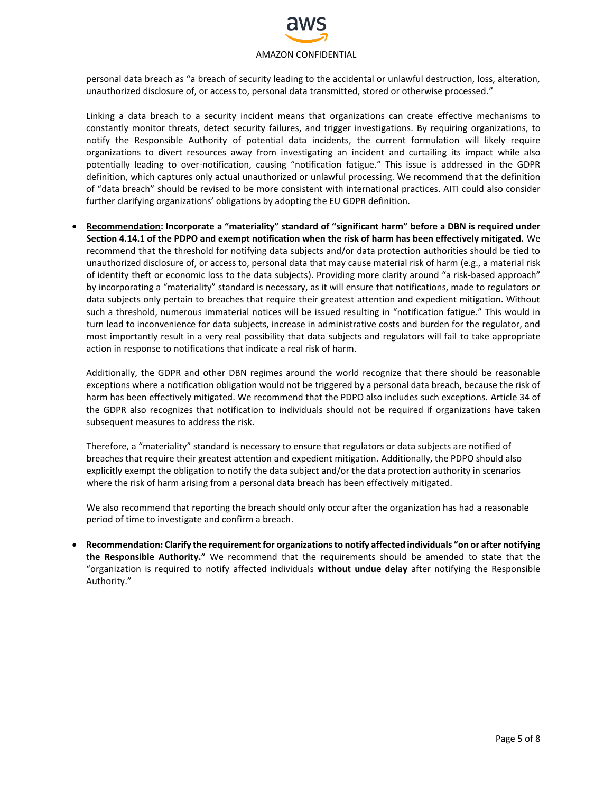

personal data breach as "a breach of security leading to the accidental or unlawful destruction, loss, alteration, unauthorized disclosure of, or access to, personal data transmitted, stored or otherwise processed."

Linking a data breach to a security incident means that organizations can create effective mechanisms to constantly monitor threats, detect security failures, and trigger investigations. By requiring organizations, to notify the Responsible Authority of potential data incidents, the current formulation will likely require organizations to divert resources away from investigating an incident and curtailing its impact while also potentially leading to over-notification, causing "notification fatigue." This issue is addressed in the GDPR definition, which captures only actual unauthorized or unlawful processing. We recommend that the definition of "data breach" should be revised to be more consistent with international practices. AITI could also consider further clarifying organizations' obligations by adopting the EU GDPR definition.

 **Recommendation: Incorporate a "materiality" standard of "significant harm" before a DBN is required under Section 4.14.1 of the PDPO and exempt notification when the risk of harm has been effectively mitigated.** We recommend that the threshold for notifying data subjects and/or data protection authorities should be tied to unauthorized disclosure of, or access to, personal data that may cause material risk of harm (e.g., a material risk of identity theft or economic loss to the data subjects). Providing more clarity around "a risk-based approach" by incorporating a "materiality" standard is necessary, as it will ensure that notifications, made to regulators or data subjects only pertain to breaches that require their greatest attention and expedient mitigation. Without such a threshold, numerous immaterial notices will be issued resulting in "notification fatigue." This would in turn lead to inconvenience for data subjects, increase in administrative costs and burden for the regulator, and most importantly result in a very real possibility that data subjects and regulators will fail to take appropriate action in response to notifications that indicate a real risk of harm.

Additionally, the GDPR and other DBN regimes around the world recognize that there should be reasonable exceptions where a notification obligation would not be triggered by a personal data breach, because the risk of harm has been effectively mitigated. We recommend that the PDPO also includes such exceptions. Article 34 of the GDPR also recognizes that notification to individuals should not be required if organizations have taken subsequent measures to address the risk.

Therefore, a "materiality" standard is necessary to ensure that regulators or data subjects are notified of breaches that require their greatest attention and expedient mitigation. Additionally, the PDPO should also explicitly exempt the obligation to notify the data subject and/or the data protection authority in scenarios where the risk of harm arising from a personal data breach has been effectively mitigated.

We also recommend that reporting the breach should only occur after the organization has had a reasonable period of time to investigate and confirm a breach.

 **Recommendation: Clarify the requirement for organizations to notify affected individuals "on or after notifying the Responsible Authority."** We recommend that the requirements should be amended to state that the "organization is required to notify affected individuals **without undue delay** after notifying the Responsible Authority."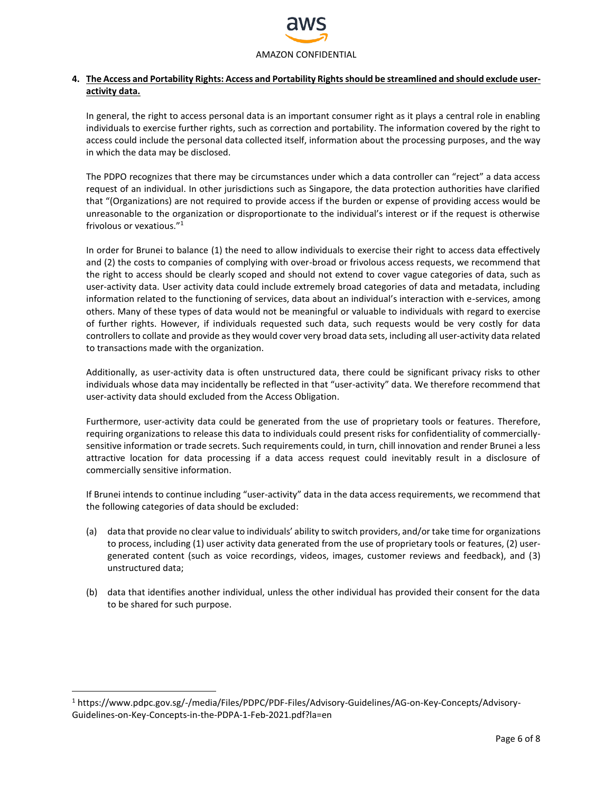

## **4. The Access and Portability Rights: Access and Portability Rights should be streamlined and should exclude useractivity data.**

In general, the right to access personal data is an important consumer right as it plays a central role in enabling individuals to exercise further rights, such as correction and portability. The information covered by the right to access could include the personal data collected itself, information about the processing purposes, and the way in which the data may be disclosed.

The PDPO recognizes that there may be circumstances under which a data controller can "reject" a data access request of an individual. In other jurisdictions such as Singapore, the data protection authorities have clarified that "(Organizations) are not required to provide access if the burden or expense of providing access would be unreasonable to the organization or disproportionate to the individual's interest or if the request is otherwise frivolous or vexatious." 1

In order for Brunei to balance (1) the need to allow individuals to exercise their right to access data effectively and (2) the costs to companies of complying with over-broad or frivolous access requests, we recommend that the right to access should be clearly scoped and should not extend to cover vague categories of data, such as user-activity data. User activity data could include extremely broad categories of data and metadata, including information related to the functioning of services, data about an individual's interaction with e-services, among others. Many of these types of data would not be meaningful or valuable to individuals with regard to exercise of further rights. However, if individuals requested such data, such requests would be very costly for data controllers to collate and provide as they would cover very broad data sets, including all user-activity data related to transactions made with the organization.

Additionally, as user-activity data is often unstructured data, there could be significant privacy risks to other individuals whose data may incidentally be reflected in that "user-activity" data. We therefore recommend that user-activity data should excluded from the Access Obligation.

Furthermore, user-activity data could be generated from the use of proprietary tools or features. Therefore, requiring organizations to release this data to individuals could present risks for confidentiality of commerciallysensitive information or trade secrets. Such requirements could, in turn, chill innovation and render Brunei a less attractive location for data processing if a data access request could inevitably result in a disclosure of commercially sensitive information.

If Brunei intends to continue including "user-activity" data in the data access requirements, we recommend that the following categories of data should be excluded:

- (a) data that provide no clear value to individuals' ability to switch providers, and/or take time for organizations to process, including (1) user activity data generated from the use of proprietary tools or features, (2) usergenerated content (such as voice recordings, videos, images, customer reviews and feedback), and (3) unstructured data;
- (b) data that identifies another individual, unless the other individual has provided their consent for the data to be shared for such purpose.

 $\overline{\phantom{a}}$ 

<sup>1</sup> https://www.pdpc.gov.sg/-/media/Files/PDPC/PDF-Files/Advisory-Guidelines/AG-on-Key-Concepts/Advisory-Guidelines-on-Key-Concepts-in-the-PDPA-1-Feb-2021.pdf?la=en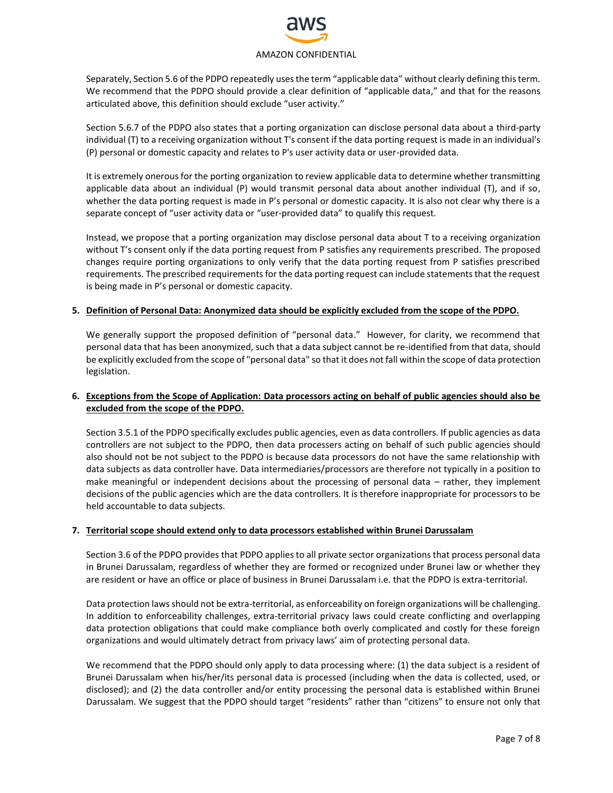# AMAZON CONFIDENTIAL

Separately, Section 5.6 of the PDPO repeatedly uses the term "applicable data" without clearly defining this term. We recommend that the PDPO should provide a clear definition of "applicable data," and that for the reasons articulated above, this definition should exclude "user activity."

Section 5.6.7 of the PDPO also states that a porting organization can disclose personal data about a third-party individual (T) to a receiving organization without T's consent if the data porting request is made in an individual's (P) personal or domestic capacity and relates to P's user activity data or user-provided data.

It is extremely onerous for the porting organization to review applicable data to determine whether transmitting applicable data about an individual (P) would transmit personal data about another individual (T), and if so, whether the data porting request is made in P's personal or domestic capacity. It is also not clear why there is a separate concept of "user activity data or "user-provided data" to qualify this request.

Instead, we propose that a porting organization may disclose personal data about T to a receiving organization without T's consent only if the data porting request from P satisfies any requirements prescribed. The proposed changes require porting organizations to only verify that the data porting request from P satisfies prescribed requirements. The prescribed requirements for the data porting request can include statements that the request is being made in P's personal or domestic capacity.

### **5. Definition of Personal Data: Anonymized data should be explicitly excluded from the scope of the PDPO.**

We generally support the proposed definition of "personal data." However, for clarity, we recommend that personal data that has been anonymized, such that a data subject cannot be re-identified from that data, should be explicitly excluded from the scope of "personal data" so that it does not fall within the scope of data protection legislation.

### **6. Exceptions from the Scope of Application: Data processors acting on behalf of public agencies should also be excluded from the scope of the PDPO.**

Section 3.5.1 of the PDPO specifically excludes public agencies, even as data controllers. If public agencies as data controllers are not subject to the PDPO, then data processers acting on behalf of such public agencies should also should not be not subject to the PDPO is because data processors do not have the same relationship with data subjects as data controller have. Data intermediaries/processors are therefore not typically in a position to make meaningful or independent decisions about the processing of personal data – rather, they implement decisions of the public agencies which are the data controllers. It is therefore inappropriate for processors to be held accountable to data subjects.

### **7. Territorial scope should extend only to data processors established within Brunei Darussalam**

Section 3.6 of the PDPO provides that PDPO applies to all private sector organizations that process personal data in Brunei Darussalam, regardless of whether they are formed or recognized under Brunei law or whether they are resident or have an office or place of business in Brunei Darussalam i.e. that the PDPO is extra-territorial.

Data protection laws should not be extra-territorial, as enforceability on foreign organizations will be challenging. In addition to enforceability challenges, extra-territorial privacy laws could create conflicting and overlapping data protection obligations that could make compliance both overly complicated and costly for these foreign organizations and would ultimately detract from privacy laws' aim of protecting personal data.

We recommend that the PDPO should only apply to data processing where: (1) the data subject is a resident of Brunei Darussalam when his/her/its personal data is processed (including when the data is collected, used, or disclosed); and (2) the data controller and/or entity processing the personal data is established within Brunei Darussalam. We suggest that the PDPO should target "residents" rather than "citizens" to ensure not only that